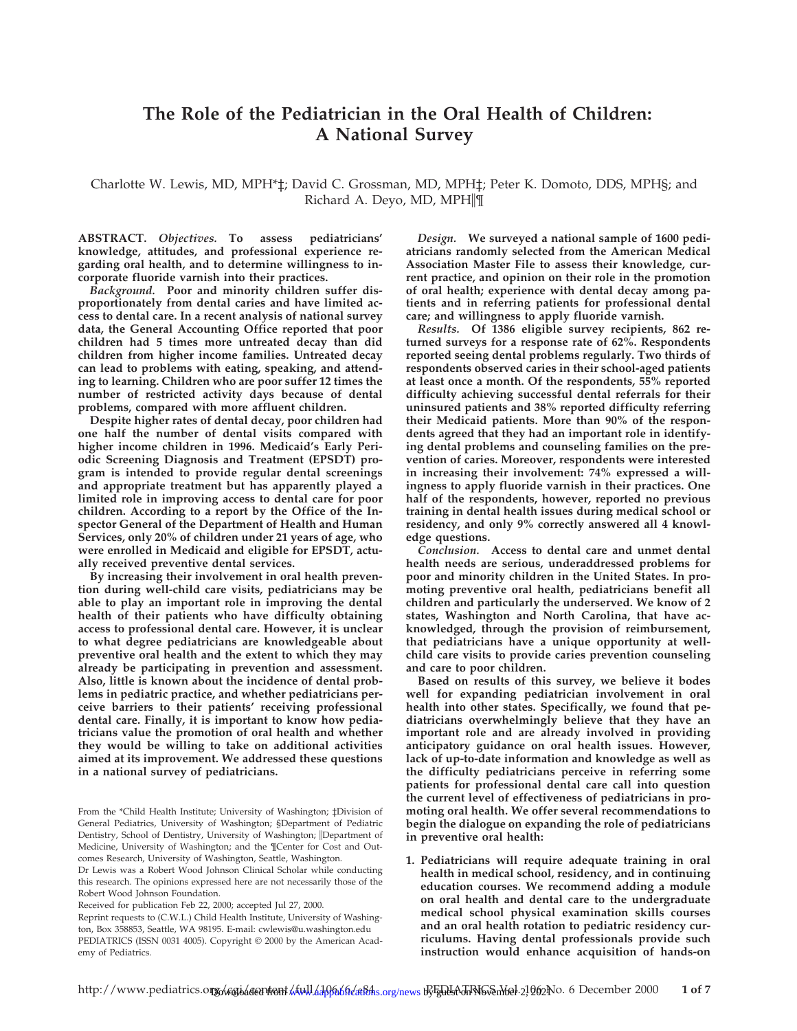# **The Role of the Pediatrician in the Oral Health of Children: A National Survey**

### Charlotte W. Lewis, MD, MPH\*‡; David C. Grossman, MD, MPH‡; Peter K. Domoto, DDS, MPH§; and Richard A. Deyo, MD, MPH||¶

**ABSTRACT.** *Objectives.* **To assess pediatricians' knowledge, attitudes, and professional experience regarding oral health, and to determine willingness to incorporate fluoride varnish into their practices.**

*Background.* **Poor and minority children suffer disproportionately from dental caries and have limited access to dental care. In a recent analysis of national survey data, the General Accounting Office reported that poor children had 5 times more untreated decay than did children from higher income families. Untreated decay can lead to problems with eating, speaking, and attending to learning. Children who are poor suffer 12 times the number of restricted activity days because of dental problems, compared with more affluent children.**

**Despite higher rates of dental decay, poor children had one half the number of dental visits compared with higher income children in 1996. Medicaid's Early Periodic Screening Diagnosis and Treatment (EPSDT) program is intended to provide regular dental screenings and appropriate treatment but has apparently played a limited role in improving access to dental care for poor children. According to a report by the Office of the Inspector General of the Department of Health and Human Services, only 20% of children under 21 years of age, who were enrolled in Medicaid and eligible for EPSDT, actually received preventive dental services.**

**By increasing their involvement in oral health prevention during well-child care visits, pediatricians may be able to play an important role in improving the dental health of their patients who have difficulty obtaining access to professional dental care. However, it is unclear to what degree pediatricians are knowledgeable about preventive oral health and the extent to which they may already be participating in prevention and assessment. Also, little is known about the incidence of dental problems in pediatric practice, and whether pediatricians perceive barriers to their patients' receiving professional dental care. Finally, it is important to know how pediatricians value the promotion of oral health and whether they would be willing to take on additional activities aimed at its improvement. We addressed these questions in a national survey of pediatricians.**

Received for publication Feb 22, 2000; accepted Jul 27, 2000.

*Design.* **We surveyed a national sample of 1600 pediatricians randomly selected from the American Medical Association Master File to assess their knowledge, current practice, and opinion on their role in the promotion of oral health; experience with dental decay among patients and in referring patients for professional dental care; and willingness to apply fluoride varnish.**

*Results.* **Of 1386 eligible survey recipients, 862 returned surveys for a response rate of 62%. Respondents reported seeing dental problems regularly. Two thirds of respondents observed caries in their school-aged patients at least once a month. Of the respondents, 55% reported difficulty achieving successful dental referrals for their uninsured patients and 38% reported difficulty referring their Medicaid patients. More than 90% of the respondents agreed that they had an important role in identifying dental problems and counseling families on the prevention of caries. Moreover, respondents were interested in increasing their involvement: 74% expressed a willingness to apply fluoride varnish in their practices. One half of the respondents, however, reported no previous training in dental health issues during medical school or residency, and only 9% correctly answered all 4 knowledge questions.**

*Conclusion.* **Access to dental care and unmet dental health needs are serious, underaddressed problems for poor and minority children in the United States. In promoting preventive oral health, pediatricians benefit all children and particularly the underserved. We know of 2 states, Washington and North Carolina, that have acknowledged, through the provision of reimbursement, that pediatricians have a unique opportunity at wellchild care visits to provide caries prevention counseling and care to poor children.**

**Based on results of this survey, we believe it bodes well for expanding pediatrician involvement in oral health into other states. Specifically, we found that pediatricians overwhelmingly believe that they have an important role and are already involved in providing anticipatory guidance on oral health issues. However, lack of up-to-date information and knowledge as well as the difficulty pediatricians perceive in referring some patients for professional dental care call into question the current level of effectiveness of pediatricians in promoting oral health. We offer several recommendations to begin the dialogue on expanding the role of pediatricians in preventive oral health:**

**1. Pediatricians will require adequate training in oral health in medical school, residency, and in continuing education courses. We recommend adding a module on oral health and dental care to the undergraduate medical school physical examination skills courses and an oral health rotation to pediatric residency curriculums. Having dental professionals provide such instruction would enhance acquisition of hands-on**

From the \*Child Health Institute; University of Washington; ‡Division of General Pediatrics, University of Washington; §Department of Pediatric Dentistry, School of Dentistry, University of Washington; ||Department of Medicine, University of Washington; and the ¶Center for Cost and Outcomes Research, University of Washington, Seattle, Washington.

Dr Lewis was a Robert Wood Johnson Clinical Scholar while conducting this research. The opinions expressed here are not necessarily those of the Robert Wood Johnson Foundation.

Reprint requests to (C.W.L.) Child Health Institute, University of Washington, Box 358853, Seattle, WA 98195. E-mail: cwlewis@u.washington.edu PEDIATRICS (ISSN 0031 4005). Copyright © 2000 by the American Academy of Pediatrics.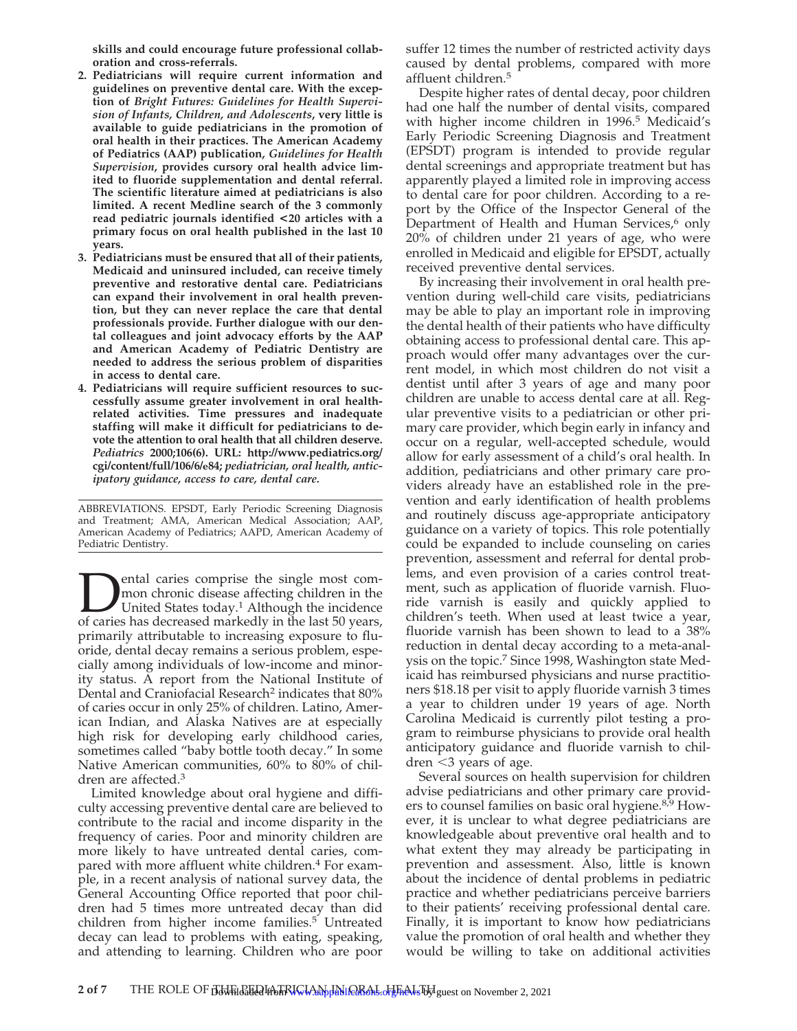**skills and could encourage future professional collaboration and cross-referrals.**

- **2. Pediatricians will require current information and guidelines on preventive dental care. With the exception of** *Bright Futures: Guidelines for Health Supervision of Infants, Children, and Adolescents***, very little is available to guide pediatricians in the promotion of oral health in their practices. The American Academy of Pediatrics (AAP) publication,** *Guidelines for Health Supervision***, provides cursory oral health advice limited to fluoride supplementation and dental referral. The scientific literature aimed at pediatricians is also limited. A recent Medline search of the 3 commonly read pediatric journals identified <20 articles with a primary focus on oral health published in the last 10 years.**
- **3. Pediatricians must be ensured that all of their patients, Medicaid and uninsured included, can receive timely preventive and restorative dental care. Pediatricians can expand their involvement in oral health prevention, but they can never replace the care that dental professionals provide. Further dialogue with our dental colleagues and joint advocacy efforts by the AAP and American Academy of Pediatric Dentistry are needed to address the serious problem of disparities in access to dental care.**
- **4. Pediatricians will require sufficient resources to successfully assume greater involvement in oral healthrelated activities. Time pressures and inadequate staffing will make it difficult for pediatricians to devote the attention to oral health that all children deserve.** *Pediatrics* **2000;106(6). URL: http://www.pediatrics.org/ cgi/content/full/106/6/e84;** *pediatrician, oral health, anticipatory guidance, access to care, dental care.*

ABBREVIATIONS. EPSDT, Early Periodic Screening Diagnosis and Treatment; AMA, American Medical Association; AAP, American Academy of Pediatrics; AAPD, American Academy of Pediatric Dentistry.

**Dental caries comprise the single most com-**<br>mon chronic disease affecting children in the<br>of caries has decreased markedly in the last 50 years, mon chronic disease affecting children in the United States today.1 Although the incidence primarily attributable to increasing exposure to fluoride, dental decay remains a serious problem, especially among individuals of low-income and minority status. A report from the National Institute of Dental and Craniofacial Research<sup>2</sup> indicates that 80% of caries occur in only 25% of children. Latino, American Indian, and Alaska Natives are at especially high risk for developing early childhood caries, sometimes called "baby bottle tooth decay." In some Native American communities, 60% to 80% of children are affected.3

Limited knowledge about oral hygiene and difficulty accessing preventive dental care are believed to contribute to the racial and income disparity in the frequency of caries. Poor and minority children are more likely to have untreated dental caries, compared with more affluent white children.4 For example, in a recent analysis of national survey data, the General Accounting Office reported that poor children had 5 times more untreated decay than did children from higher income families.<sup>5</sup> Untreated decay can lead to problems with eating, speaking, and attending to learning. Children who are poor

suffer 12 times the number of restricted activity days caused by dental problems, compared with more affluent children.5

Despite higher rates of dental decay, poor children had one half the number of dental visits, compared with higher income children in 1996.<sup>5</sup> Medicaid's Early Periodic Screening Diagnosis and Treatment (EPSDT) program is intended to provide regular dental screenings and appropriate treatment but has apparently played a limited role in improving access to dental care for poor children. According to a report by the Office of the Inspector General of the Department of Health and Human Services,<sup>6</sup> only 20% of children under 21 years of age, who were enrolled in Medicaid and eligible for EPSDT, actually received preventive dental services.

By increasing their involvement in oral health prevention during well-child care visits, pediatricians may be able to play an important role in improving the dental health of their patients who have difficulty obtaining access to professional dental care. This approach would offer many advantages over the current model, in which most children do not visit a dentist until after 3 years of age and many poor children are unable to access dental care at all. Regular preventive visits to a pediatrician or other primary care provider, which begin early in infancy and occur on a regular, well-accepted schedule, would allow for early assessment of a child's oral health. In addition, pediatricians and other primary care providers already have an established role in the prevention and early identification of health problems and routinely discuss age-appropriate anticipatory guidance on a variety of topics. This role potentially could be expanded to include counseling on caries prevention, assessment and referral for dental problems, and even provision of a caries control treatment, such as application of fluoride varnish. Fluoride varnish is easily and quickly applied to children's teeth. When used at least twice a year, fluoride varnish has been shown to lead to a 38% reduction in dental decay according to a meta-analysis on the topic.7 Since 1998, Washington state Medicaid has reimbursed physicians and nurse practitioners \$18.18 per visit to apply fluoride varnish 3 times a year to children under 19 years of age. North Carolina Medicaid is currently pilot testing a program to reimburse physicians to provide oral health anticipatory guidance and fluoride varnish to children  $\leq$ 3 years of age.

Several sources on health supervision for children advise pediatricians and other primary care providers to counsel families on basic oral hygiene.<sup>8,9</sup> However, it is unclear to what degree pediatricians are knowledgeable about preventive oral health and to what extent they may already be participating in prevention and assessment. Also, little is known about the incidence of dental problems in pediatric practice and whether pediatricians perceive barriers to their patients' receiving professional dental care. Finally, it is important to know how pediatricians value the promotion of oral health and whether they would be willing to take on additional activities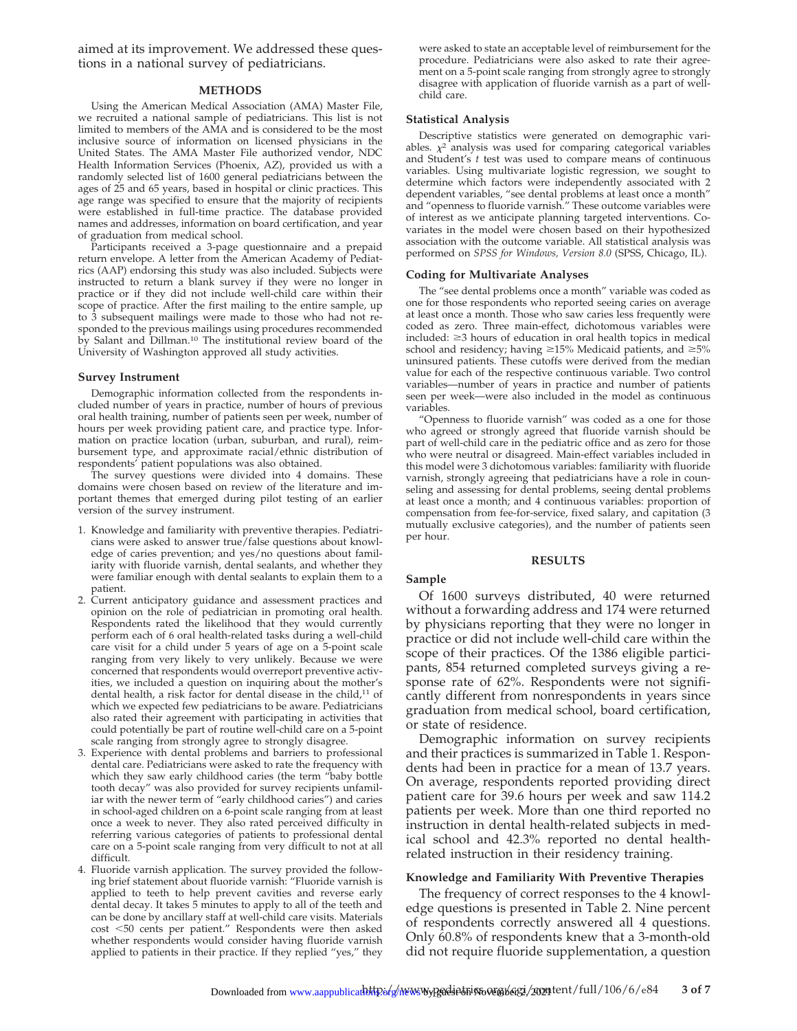aimed at its improvement. We addressed these questions in a national survey of pediatricians.

### **METHODS**

Using the American Medical Association (AMA) Master File, we recruited a national sample of pediatricians. This list is not limited to members of the AMA and is considered to be the most inclusive source of information on licensed physicians in the United States. The AMA Master File authorized vendor, NDC Health Information Services (Phoenix, AZ), provided us with a randomly selected list of 1600 general pediatricians between the ages of 25 and 65 years, based in hospital or clinic practices. This age range was specified to ensure that the majority of recipients were established in full-time practice. The database provided names and addresses, information on board certification, and year of graduation from medical school.

Participants received a 3-page questionnaire and a prepaid return envelope. A letter from the American Academy of Pediatrics (AAP) endorsing this study was also included. Subjects were instructed to return a blank survey if they were no longer in practice or if they did not include well-child care within their scope of practice. After the first mailing to the entire sample, up to 3 subsequent mailings were made to those who had not responded to the previous mailings using procedures recommended by Salant and Dillman.10 The institutional review board of the University of Washington approved all study activities.

#### **Survey Instrument**

Demographic information collected from the respondents included number of years in practice, number of hours of previous oral health training, number of patients seen per week, number of hours per week providing patient care, and practice type. Information on practice location (urban, suburban, and rural), reimbursement type, and approximate racial/ethnic distribution of respondents' patient populations was also obtained.

The survey questions were divided into 4 domains. These domains were chosen based on review of the literature and important themes that emerged during pilot testing of an earlier version of the survey instrument.

- 1. Knowledge and familiarity with preventive therapies. Pediatricians were asked to answer true/false questions about knowledge of caries prevention; and yes/no questions about familiarity with fluoride varnish, dental sealants, and whether they were familiar enough with dental sealants to explain them to a patient.
- 2. Current anticipatory guidance and assessment practices and opinion on the role of pediatrician in promoting oral health. Respondents rated the likelihood that they would currently perform each of 6 oral health-related tasks during a well-child care visit for a child under 5 years of age on a 5-point scale ranging from very likely to very unlikely. Because we were concerned that respondents would overreport preventive activities, we included a question on inquiring about the mother's dental health, a risk factor for dental disease in the child,<sup>11</sup> of which we expected few pediatricians to be aware. Pediatricians also rated their agreement with participating in activities that could potentially be part of routine well-child care on a 5-point scale ranging from strongly agree to strongly disagree.
- 3. Experience with dental problems and barriers to professional dental care. Pediatricians were asked to rate the frequency with which they saw early childhood caries (the term "baby bottle tooth decay" was also provided for survey recipients unfamiliar with the newer term of "early childhood caries") and caries in school-aged children on a 6-point scale ranging from at least once a week to never. They also rated perceived difficulty in referring various categories of patients to professional dental care on a 5-point scale ranging from very difficult to not at all difficult.
- 4. Fluoride varnish application. The survey provided the following brief statement about fluoride varnish: "Fluoride varnish is applied to teeth to help prevent cavities and reverse early dental decay. It takes 5 minutes to apply to all of the teeth and can be done by ancillary staff at well-child care visits. Materials cost <50 cents per patient." Respondents were then asked whether respondents would consider having fluoride varnish applied to patients in their practice. If they replied "yes," they

were asked to state an acceptable level of reimbursement for the procedure. Pediatricians were also asked to rate their agreement on a 5-point scale ranging from strongly agree to strongly disagree with application of fluoride varnish as a part of wellchild care.

#### **Statistical Analysis**

Descriptive statistics were generated on demographic variables.  $\chi^2$  analysis was used for comparing categorical variables and Student's *t* test was used to compare means of continuous variables. Using multivariate logistic regression, we sought to determine which factors were independently associated with 2 dependent variables, "see dental problems at least once a month" and "openness to fluoride varnish." These outcome variables were of interest as we anticipate planning targeted interventions. Covariates in the model were chosen based on their hypothesized association with the outcome variable. All statistical analysis was performed on *SPSS for Windows, Version 8.0* (SPSS, Chicago, IL).

### **Coding for Multivariate Analyses**

The "see dental problems once a month" variable was coded as one for those respondents who reported seeing caries on average at least once a month. Those who saw caries less frequently were coded as zero. Three main-effect, dichotomous variables were included:  $\geq$ 3 hours of education in oral health topics in medical school and residency; having  $\geq$ 15% Medicaid patients, and  $\geq$ 5% uninsured patients. These cutoffs were derived from the median value for each of the respective continuous variable. Two control variables—number of years in practice and number of patients seen per week—were also included in the model as continuous variables.

"Openness to fluoride varnish" was coded as a one for those who agreed or strongly agreed that fluoride varnish should be part of well-child care in the pediatric office and as zero for those who were neutral or disagreed. Main-effect variables included in this model were 3 dichotomous variables: familiarity with fluoride varnish, strongly agreeing that pediatricians have a role in counseling and assessing for dental problems, seeing dental problems at least once a month; and 4 continuous variables: proportion of compensation from fee-for-service, fixed salary, and capitation (3 mutually exclusive categories), and the number of patients seen per hour.

#### **RESULTS**

### **Sample**

Of 1600 surveys distributed, 40 were returned without a forwarding address and 174 were returned by physicians reporting that they were no longer in practice or did not include well-child care within the scope of their practices. Of the 1386 eligible participants, 854 returned completed surveys giving a response rate of 62%. Respondents were not significantly different from nonrespondents in years since graduation from medical school, board certification, or state of residence.

Demographic information on survey recipients and their practices is summarized in Table 1. Respondents had been in practice for a mean of 13.7 years. On average, respondents reported providing direct patient care for 39.6 hours per week and saw 114.2 patients per week. More than one third reported no instruction in dental health-related subjects in medical school and 42.3% reported no dental healthrelated instruction in their residency training.

### **Knowledge and Familiarity With Preventive Therapies**

The frequency of correct responses to the 4 knowledge questions is presented in Table 2. Nine percent of respondents correctly answered all 4 questions. Only 60.8% of respondents knew that a 3-month-old did not require fluoride supplementation, a question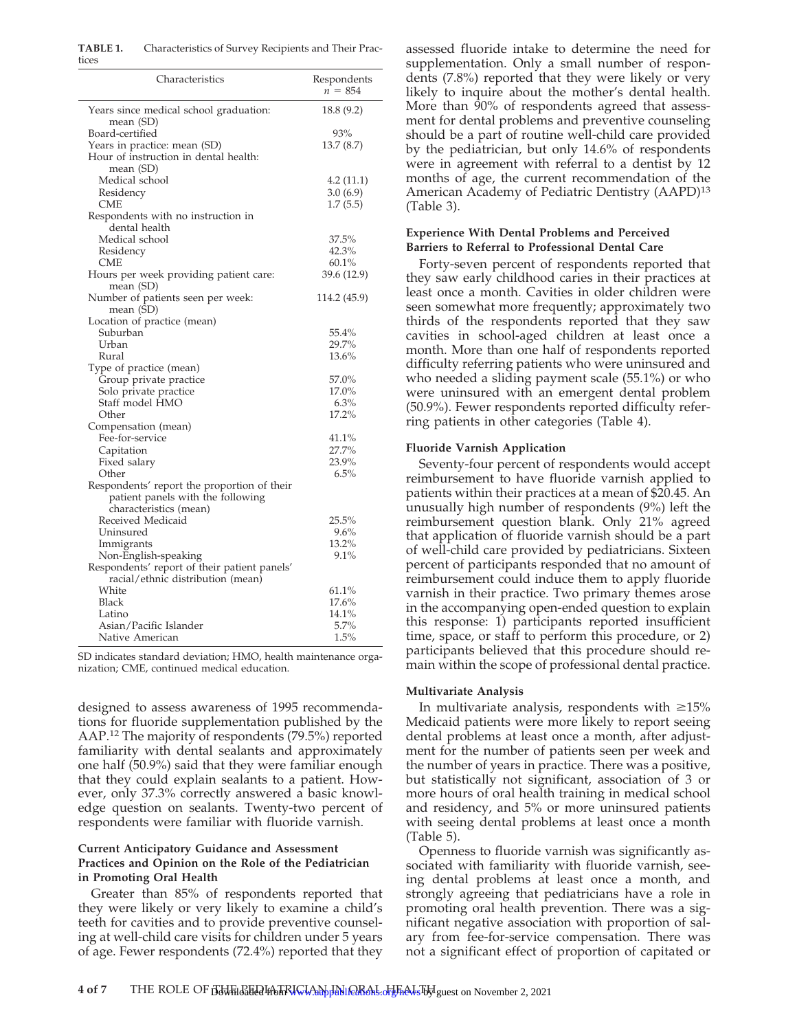| TABLE 1. | Characteristics of Survey Recipients and Their Prac- |
|----------|------------------------------------------------------|
| tices    |                                                      |

| Characteristics                                                      | Respondents<br>$n = 854$ |
|----------------------------------------------------------------------|--------------------------|
| Years since medical school graduation:<br>mean (SD)                  | 18.8 (9.2)               |
| Board-certified                                                      | 93%                      |
| Years in practice: mean (SD)                                         | 13.7(8.7)                |
| Hour of instruction in dental health:                                |                          |
| mean (SD)                                                            |                          |
| Medical school                                                       | 4.2(11.1)                |
| Residency                                                            | 3.0(6.9)                 |
| CME                                                                  | 1.7(5.5)                 |
| Respondents with no instruction in                                   |                          |
| dental health                                                        |                          |
| Medical school                                                       | 37.5%                    |
| Residency                                                            | 42.3%                    |
| <b>CME</b>                                                           | 60.1%                    |
| Hours per week providing patient care:                               | 39.6 (12.9)              |
| mean (SD)                                                            |                          |
| Number of patients seen per week:                                    | 114.2 (45.9)             |
| mean (SD)                                                            |                          |
| Location of practice (mean)                                          |                          |
| Suburban                                                             | 55.4%                    |
| Urban                                                                | 29.7%                    |
| Rural                                                                | 13.6%                    |
|                                                                      |                          |
| Type of practice (mean)<br>Group private practice                    | 57.0%                    |
|                                                                      | 17.0%                    |
| Solo private practice<br>Staff model HMO                             | 6.3%                     |
| Other                                                                | 17.2%                    |
|                                                                      |                          |
| Compensation (mean)                                                  | 41.1%                    |
| Fee-for-service                                                      | 27.7%                    |
| Capitation                                                           | 23.9%                    |
| Fixed salary<br>Other                                                | 6.5%                     |
|                                                                      |                          |
| Respondents' report the proportion of their                          |                          |
| patient panels with the following<br>characteristics (mean)          |                          |
| Received Medicaid                                                    | 25.5%                    |
|                                                                      |                          |
| Uninsured                                                            | 9.6%<br>13.2%            |
| Immigrants                                                           | 9.1%                     |
| Non-English-speaking<br>Respondents' report of their patient panels' |                          |
| racial/ethnic distribution (mean)                                    |                          |
| White                                                                |                          |
|                                                                      | 61.1%                    |
| Black                                                                | 17.6%<br>14.1%           |
| Latino<br>Asian/Pacific Islander                                     | 5.7%                     |
|                                                                      | 1.5%                     |
| Native American                                                      |                          |

SD indicates standard deviation; HMO, health maintenance organization; CME, continued medical education.

designed to assess awareness of 1995 recommendations for fluoride supplementation published by the AAP.<sup>12</sup> The majority of respondents (79.5%) reported familiarity with dental sealants and approximately one half (50.9%) said that they were familiar enough that they could explain sealants to a patient. However, only 37.3% correctly answered a basic knowledge question on sealants. Twenty-two percent of respondents were familiar with fluoride varnish.

### **Current Anticipatory Guidance and Assessment Practices and Opinion on the Role of the Pediatrician in Promoting Oral Health**

Greater than 85% of respondents reported that they were likely or very likely to examine a child's teeth for cavities and to provide preventive counseling at well-child care visits for children under 5 years of age. Fewer respondents (72.4%) reported that they

assessed fluoride intake to determine the need for supplementation. Only a small number of respondents (7.8%) reported that they were likely or very likely to inquire about the mother's dental health. More than 90% of respondents agreed that assessment for dental problems and preventive counseling should be a part of routine well-child care provided by the pediatrician, but only 14.6% of respondents were in agreement with referral to a dentist by 12 months of age, the current recommendation of the American Academy of Pediatric Dentistry (AAPD)<sup>13</sup> (Table 3).

### **Experience With Dental Problems and Perceived Barriers to Referral to Professional Dental Care**

Forty-seven percent of respondents reported that they saw early childhood caries in their practices at least once a month. Cavities in older children were seen somewhat more frequently; approximately two thirds of the respondents reported that they saw cavities in school-aged children at least once a month. More than one half of respondents reported difficulty referring patients who were uninsured and who needed a sliding payment scale (55.1%) or who were uninsured with an emergent dental problem (50.9%). Fewer respondents reported difficulty referring patients in other categories (Table 4).

### **Fluoride Varnish Application**

Seventy-four percent of respondents would accept reimbursement to have fluoride varnish applied to patients within their practices at a mean of \$20.45. An unusually high number of respondents (9%) left the reimbursement question blank. Only 21% agreed that application of fluoride varnish should be a part of well-child care provided by pediatricians. Sixteen percent of participants responded that no amount of reimbursement could induce them to apply fluoride varnish in their practice. Two primary themes arose in the accompanying open-ended question to explain this response: 1) participants reported insufficient time, space, or staff to perform this procedure, or 2) participants believed that this procedure should remain within the scope of professional dental practice.

### **Multivariate Analysis**

In multivariate analysis, respondents with  $\geq 15\%$ Medicaid patients were more likely to report seeing dental problems at least once a month, after adjustment for the number of patients seen per week and the number of years in practice. There was a positive, but statistically not significant, association of 3 or more hours of oral health training in medical school and residency, and 5% or more uninsured patients with seeing dental problems at least once a month (Table 5).

Openness to fluoride varnish was significantly associated with familiarity with fluoride varnish, seeing dental problems at least once a month, and strongly agreeing that pediatricians have a role in promoting oral health prevention. There was a significant negative association with proportion of salary from fee-for-service compensation. There was not a significant effect of proportion of capitated or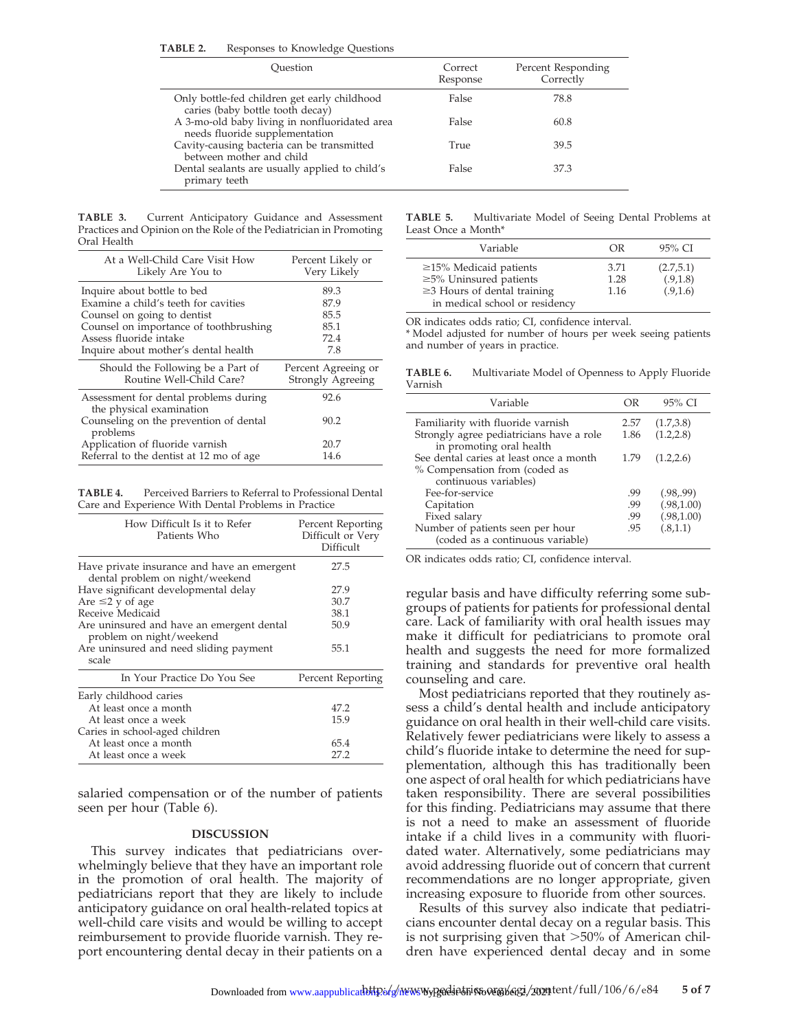| TABLE 2. |  |  | Responses to Knowledge Questions |
|----------|--|--|----------------------------------|
|----------|--|--|----------------------------------|

| Ouestion                                                                         | Correct<br>Response | Percent Responding<br>Correctly |
|----------------------------------------------------------------------------------|---------------------|---------------------------------|
| Only bottle-fed children get early childhood<br>caries (baby bottle tooth decay) | False               | 78.8                            |
| A 3-mo-old baby living in nonfluoridated area<br>needs fluoride supplementation  | False               | 60.8                            |
| Cavity-causing bacteria can be transmitted<br>between mother and child           | True                | 39.5                            |
| Dental sealants are usually applied to child's<br>primary teeth                  | False               | 37.3                            |

**TABLE 3.** Current Anticipatory Guidance and Assessment Practices and Opinion on the Role of the Pediatrician in Promoting Oral Health

| At a Well-Child Care Visit How<br>Likely Are You to               | Percent Likely or<br>Very Likely         |
|-------------------------------------------------------------------|------------------------------------------|
| Inquire about bottle to bed                                       | 89.3                                     |
| Examine a child's teeth for cavities                              | 87.9                                     |
| Counsel on going to dentist                                       | 85.5                                     |
| Counsel on importance of toothbrushing                            | 85.1                                     |
| Assess fluoride intake                                            | 72.4                                     |
| Inquire about mother's dental health                              | 7.8                                      |
|                                                                   |                                          |
| Should the Following be a Part of<br>Routine Well-Child Care?     | Percent Agreeing or<br>Strongly Agreeing |
| Assessment for dental problems during<br>the physical examination | 92.6                                     |
| Counseling on the prevention of dental<br>problems                | 90.2                                     |
| Application of fluoride varnish                                   | 20.7                                     |

**TABLE 4.** Perceived Barriers to Referral to Professional Dental Care and Experience With Dental Problems in Practice

| How Difficult Is it to Refer<br>Patients Who                                   | Percent Reporting<br>Difficult or Very<br>Difficult |
|--------------------------------------------------------------------------------|-----------------------------------------------------|
| Have private insurance and have an emergent<br>dental problem on night/weekend | 27.5                                                |
| Have significant developmental delay                                           | 27.9                                                |
| Are $\leq$ 2 y of age                                                          | 30.7                                                |
| Receive Medicaid                                                               | 38.1                                                |
| Are uninsured and have an emergent dental<br>problem on night/weekend          | 50.9                                                |
| Are uninsured and need sliding payment<br>scale                                | 55.1                                                |
| In Your Practice Do You See                                                    | Percent Reporting                                   |
| Early childhood caries                                                         |                                                     |
| At least once a month                                                          | 47.2                                                |
| At least once a week                                                           | 15.9                                                |
| Caries in school-aged children                                                 |                                                     |
| At least once a month                                                          | 65.4                                                |
| At least once a week                                                           | 27.2                                                |

salaried compensation or of the number of patients seen per hour (Table 6).

### **DISCUSSION**

This survey indicates that pediatricians overwhelmingly believe that they have an important role in the promotion of oral health. The majority of pediatricians report that they are likely to include anticipatory guidance on oral health-related topics at well-child care visits and would be willing to accept reimbursement to provide fluoride varnish. They report encountering dental decay in their patients on a

**TABLE 5.** Multivariate Model of Seeing Dental Problems at Least Once a Month\*

| Variable                                                                                                                            | OR                   | $95\%$ CI                          |
|-------------------------------------------------------------------------------------------------------------------------------------|----------------------|------------------------------------|
| $\geq$ 15% Medicaid patients<br>$\geq$ 5% Uninsured patients<br>$\geq$ 3 Hours of dental training<br>in medical school or residency | 3.71<br>1.28<br>1.16 | (2.7, 5.1)<br>(.9,1.8)<br>(.9,1.6) |

OR indicates odds ratio; CI, confidence interval.

\* Model adjusted for number of hours per week seeing patients and number of years in practice.

**TABLE 6.** Multivariate Model of Openness to Apply Fluoride Varnish

| Variable                                 | OR   | 95% CI     |
|------------------------------------------|------|------------|
| Familiarity with fluoride varnish        | 2.57 | (1.7, 3.8) |
| Strongly agree pediatricians have a role | 1.86 | (1.2, 2.8) |
| in promoting oral health                 |      |            |
| See dental caries at least once a month  | 1.79 | (1.2, 2.6) |
| % Compensation from (coded as            |      |            |
| continuous variables)                    |      |            |
| Fee-for-service                          | .99  | (.98, .99) |
| Capitation                               | .99  | (.98,1.00) |
| Fixed salary                             | .99  | (.98,1.00) |
| Number of patients seen per hour         | .95  | (.8,1.1)   |
| (coded as a continuous variable)         |      |            |

OR indicates odds ratio; CI, confidence interval.

regular basis and have difficulty referring some subgroups of patients for patients for professional dental care. Lack of familiarity with oral health issues may make it difficult for pediatricians to promote oral health and suggests the need for more formalized training and standards for preventive oral health counseling and care.

Most pediatricians reported that they routinely assess a child's dental health and include anticipatory guidance on oral health in their well-child care visits. Relatively fewer pediatricians were likely to assess a child's fluoride intake to determine the need for supplementation, although this has traditionally been one aspect of oral health for which pediatricians have taken responsibility. There are several possibilities for this finding. Pediatricians may assume that there is not a need to make an assessment of fluoride intake if a child lives in a community with fluoridated water. Alternatively, some pediatricians may avoid addressing fluoride out of concern that current recommendations are no longer appropriate, given increasing exposure to fluoride from other sources.

Results of this survey also indicate that pediatricians encounter dental decay on a regular basis. This is not surprising given that  $>50\%$  of American children have experienced dental decay and in some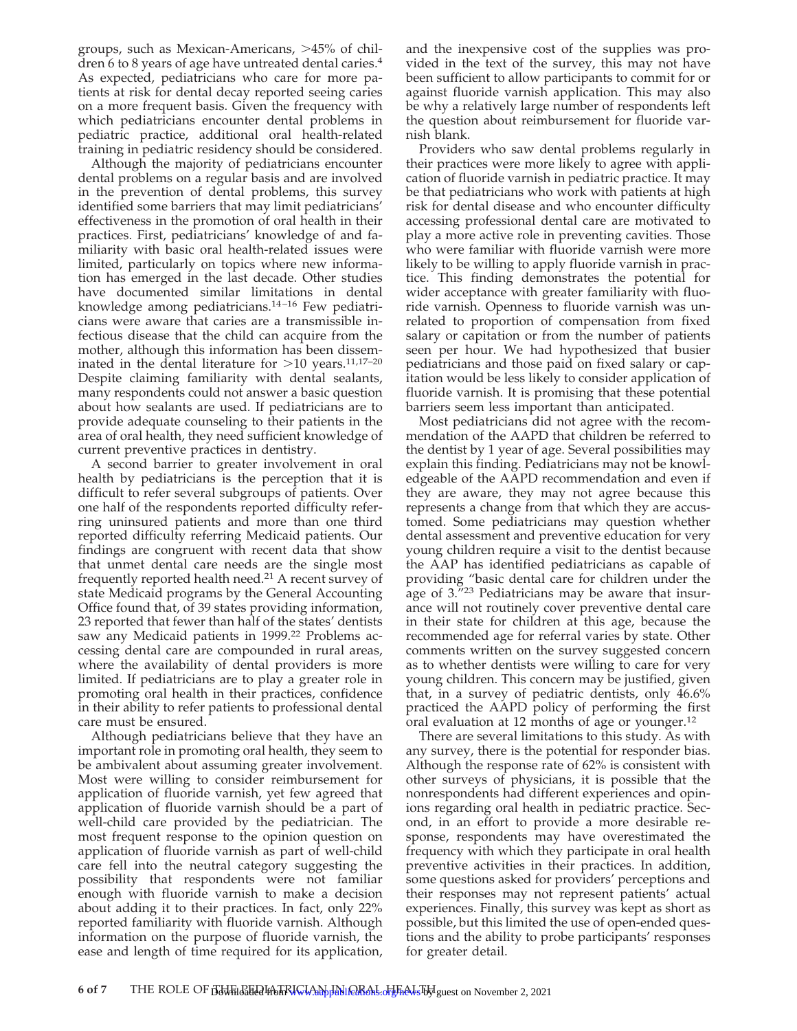groups, such as Mexican-Americans,  $>45\%$  of children 6 to 8 years of age have untreated dental caries.<sup>4</sup> As expected, pediatricians who care for more patients at risk for dental decay reported seeing caries on a more frequent basis. Given the frequency with which pediatricians encounter dental problems in pediatric practice, additional oral health-related training in pediatric residency should be considered.

Although the majority of pediatricians encounter dental problems on a regular basis and are involved in the prevention of dental problems, this survey identified some barriers that may limit pediatricians' effectiveness in the promotion of oral health in their practices. First, pediatricians' knowledge of and familiarity with basic oral health-related issues were limited, particularly on topics where new information has emerged in the last decade. Other studies have documented similar limitations in dental knowledge among pediatricians.<sup>14-16</sup> Few pediatricians were aware that caries are a transmissible infectious disease that the child can acquire from the mother, although this information has been disseminated in the dental literature for  $>10$  years.<sup>11,17-20</sup> Despite claiming familiarity with dental sealants, many respondents could not answer a basic question about how sealants are used. If pediatricians are to provide adequate counseling to their patients in the area of oral health, they need sufficient knowledge of current preventive practices in dentistry.

A second barrier to greater involvement in oral health by pediatricians is the perception that it is difficult to refer several subgroups of patients. Over one half of the respondents reported difficulty referring uninsured patients and more than one third reported difficulty referring Medicaid patients. Our findings are congruent with recent data that show that unmet dental care needs are the single most frequently reported health need.21 A recent survey of state Medicaid programs by the General Accounting Office found that, of 39 states providing information, 23 reported that fewer than half of the states' dentists saw any Medicaid patients in 1999.<sup>22</sup> Problems accessing dental care are compounded in rural areas, where the availability of dental providers is more limited. If pediatricians are to play a greater role in promoting oral health in their practices, confidence in their ability to refer patients to professional dental care must be ensured.

Although pediatricians believe that they have an important role in promoting oral health, they seem to be ambivalent about assuming greater involvement. Most were willing to consider reimbursement for application of fluoride varnish, yet few agreed that application of fluoride varnish should be a part of well-child care provided by the pediatrician. The most frequent response to the opinion question on application of fluoride varnish as part of well-child care fell into the neutral category suggesting the possibility that respondents were not familiar enough with fluoride varnish to make a decision about adding it to their practices. In fact, only 22% reported familiarity with fluoride varnish. Although information on the purpose of fluoride varnish, the ease and length of time required for its application, and the inexpensive cost of the supplies was provided in the text of the survey, this may not have been sufficient to allow participants to commit for or against fluoride varnish application. This may also be why a relatively large number of respondents left the question about reimbursement for fluoride varnish blank.

Providers who saw dental problems regularly in their practices were more likely to agree with application of fluoride varnish in pediatric practice. It may be that pediatricians who work with patients at high risk for dental disease and who encounter difficulty accessing professional dental care are motivated to play a more active role in preventing cavities. Those who were familiar with fluoride varnish were more likely to be willing to apply fluoride varnish in practice. This finding demonstrates the potential for wider acceptance with greater familiarity with fluoride varnish. Openness to fluoride varnish was unrelated to proportion of compensation from fixed salary or capitation or from the number of patients seen per hour. We had hypothesized that busier pediatricians and those paid on fixed salary or capitation would be less likely to consider application of fluoride varnish. It is promising that these potential barriers seem less important than anticipated.

Most pediatricians did not agree with the recommendation of the AAPD that children be referred to the dentist by 1 year of age. Several possibilities may explain this finding. Pediatricians may not be knowledgeable of the AAPD recommendation and even if they are aware, they may not agree because this represents a change from that which they are accustomed. Some pediatricians may question whether dental assessment and preventive education for very young children require a visit to the dentist because the AAP has identified pediatricians as capable of providing "basic dental care for children under the age of 3.<sup>"23</sup> Pediatricians may be aware that insurance will not routinely cover preventive dental care in their state for children at this age, because the recommended age for referral varies by state. Other comments written on the survey suggested concern as to whether dentists were willing to care for very young children. This concern may be justified, given that, in a survey of pediatric dentists, only 46.6% practiced the AAPD policy of performing the first oral evaluation at 12 months of age or younger.<sup>12</sup>

There are several limitations to this study. As with any survey, there is the potential for responder bias. Although the response rate of 62% is consistent with other surveys of physicians, it is possible that the nonrespondents had different experiences and opinions regarding oral health in pediatric practice. Second, in an effort to provide a more desirable response, respondents may have overestimated the frequency with which they participate in oral health preventive activities in their practices. In addition, some questions asked for providers' perceptions and their responses may not represent patients' actual experiences. Finally, this survey was kept as short as possible, but this limited the use of open-ended questions and the ability to probe participants' responses for greater detail.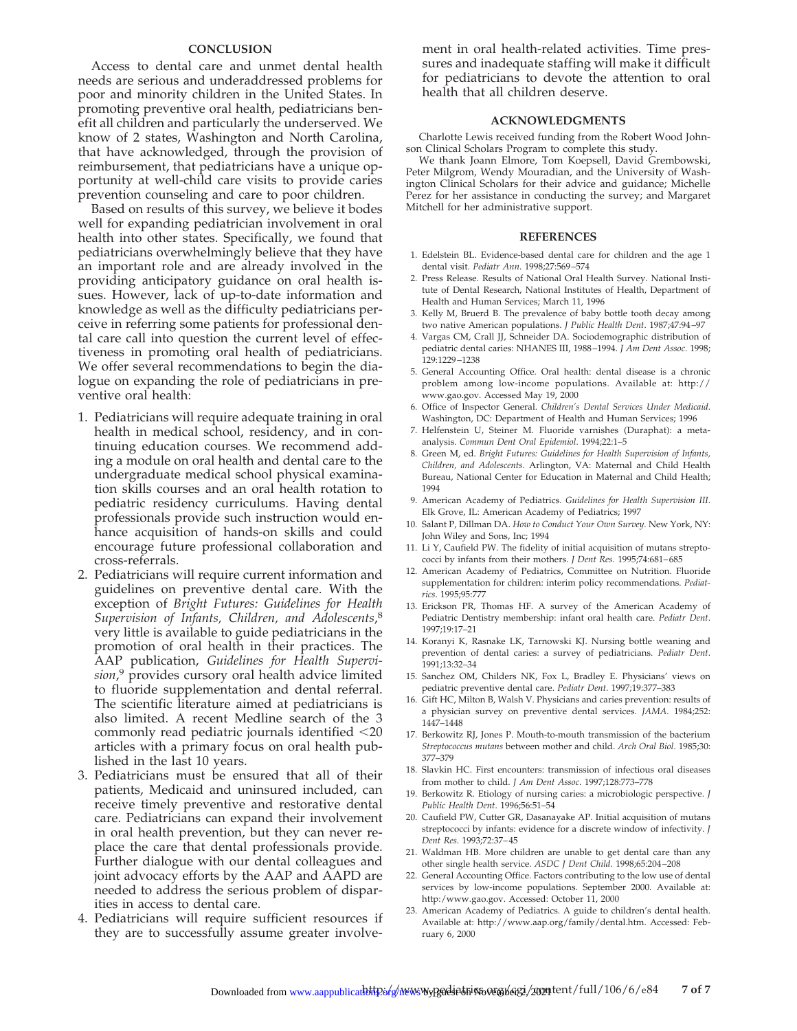### **CONCLUSION**

Access to dental care and unmet dental health needs are serious and underaddressed problems for poor and minority children in the United States. In promoting preventive oral health, pediatricians benefit all children and particularly the underserved. We know of 2 states, Washington and North Carolina, that have acknowledged, through the provision of reimbursement, that pediatricians have a unique opportunity at well-child care visits to provide caries prevention counseling and care to poor children.

Based on results of this survey, we believe it bodes well for expanding pediatrician involvement in oral health into other states. Specifically, we found that pediatricians overwhelmingly believe that they have an important role and are already involved in the providing anticipatory guidance on oral health issues. However, lack of up-to-date information and knowledge as well as the difficulty pediatricians perceive in referring some patients for professional dental care call into question the current level of effectiveness in promoting oral health of pediatricians. We offer several recommendations to begin the dialogue on expanding the role of pediatricians in preventive oral health:

- 1. Pediatricians will require adequate training in oral health in medical school, residency, and in continuing education courses. We recommend adding a module on oral health and dental care to the undergraduate medical school physical examination skills courses and an oral health rotation to pediatric residency curriculums. Having dental professionals provide such instruction would enhance acquisition of hands-on skills and could encourage future professional collaboration and cross-referrals.
- 2. Pediatricians will require current information and guidelines on preventive dental care. With the exception of *Bright Futures: Guidelines for Health Supervision of Infants, Children, and Adolescents*, 8 very little is available to guide pediatricians in the promotion of oral health in their practices. The AAP publication, *Guidelines for Health Supervision*, <sup>9</sup> provides cursory oral health advice limited to fluoride supplementation and dental referral. The scientific literature aimed at pediatricians is also limited. A recent Medline search of the 3 commonly read pediatric journals identified  $<$ 20 articles with a primary focus on oral health published in the last 10 years.
- 3. Pediatricians must be ensured that all of their patients, Medicaid and uninsured included, can receive timely preventive and restorative dental care. Pediatricians can expand their involvement in oral health prevention, but they can never replace the care that dental professionals provide. Further dialogue with our dental colleagues and joint advocacy efforts by the AAP and AAPD are needed to address the serious problem of disparities in access to dental care.
- 4. Pediatricians will require sufficient resources if they are to successfully assume greater involve-

ment in oral health-related activities. Time pressures and inadequate staffing will make it difficult for pediatricians to devote the attention to oral health that all children deserve.

### **ACKNOWLEDGMENTS**

Charlotte Lewis received funding from the Robert Wood Johnson Clinical Scholars Program to complete this study.

We thank Joann Elmore, Tom Koepsell, David Grembowski, Peter Milgrom, Wendy Mouradian, and the University of Washington Clinical Scholars for their advice and guidance; Michelle Perez for her assistance in conducting the survey; and Margaret Mitchell for her administrative support.

#### **REFERENCES**

- 1. Edelstein BL. Evidence-based dental care for children and the age 1 dental visit. *Pediatr Ann*. 1998;27:569–574
- 2. Press Release. Results of National Oral Health Survey. National Institute of Dental Research, National Institutes of Health, Department of Health and Human Services; March 11, 1996
- 3. Kelly M, Bruerd B. The prevalence of baby bottle tooth decay among two native American populations. *J Public Health Dent*. 1987;47:94–97
- 4. Vargas CM, Crall JJ, Schneider DA. Sociodemographic distribution of pediatric dental caries: NHANES III, 1988–1994. *J Am Dent Assoc*. 1998; 129:1229–1238
- 5. General Accounting Office. Oral health: dental disease is a chronic problem among low-income populations. Available at: http:// www.gao.gov. Accessed May 19, 2000
- 6. Office of Inspector General. *Children's Dental Services Under Medicaid*. Washington, DC: Department of Health and Human Services; 1996
- 7. Helfenstein U, Steiner M. Fluoride varnishes (Duraphat): a metaanalysis. *Commun Dent Oral Epidemiol*. 1994;22:1–5
- 8. Green M, ed. *Bright Futures: Guidelines for Health Supervision of Infants, Children, and Adolescents*. Arlington, VA: Maternal and Child Health Bureau, National Center for Education in Maternal and Child Health; 1994
- 9. American Academy of Pediatrics. *Guidelines for Health Supervision III*. Elk Grove, IL: American Academy of Pediatrics; 1997
- 10. Salant P, Dillman DA. *How to Conduct Your Own Survey*. New York, NY: John Wiley and Sons, Inc; 1994
- 11. Li Y, Caufield PW. The fidelity of initial acquisition of mutans streptococci by infants from their mothers. *J Dent Res*. 1995;74:681–685
- 12. American Academy of Pediatrics, Committee on Nutrition. Fluoride supplementation for children: interim policy recommendations. *Pediatrics*. 1995;95:777
- 13. Erickson PR, Thomas HF. A survey of the American Academy of Pediatric Dentistry membership: infant oral health care. *Pediatr Dent*. 1997;19:17–21
- 14. Koranyi K, Rasnake LK, Tarnowski KJ. Nursing bottle weaning and prevention of dental caries: a survey of pediatricians. *Pediatr Dent*. 1991;13:32–34
- 15. Sanchez OM, Childers NK, Fox L, Bradley E. Physicians' views on pediatric preventive dental care. *Pediatr Dent*. 1997;19:377–383
- 16. Gift HC, Milton B, Walsh V. Physicians and caries prevention: results of a physician survey on preventive dental services. *JAMA*. 1984;252: 1447–1448
- 17. Berkowitz RJ, Jones P. Mouth-to-mouth transmission of the bacterium *Streptococcus mutans* between mother and child. *Arch Oral Biol*. 1985;30: 377–379
- 18. Slavkin HC. First encounters: transmission of infectious oral diseases from mother to child. *J Am Dent Assoc*. 1997;128:773–778
- 19. Berkowitz R. Etiology of nursing caries: a microbiologic perspective. *J Public Health Dent*. 1996;56:51–54
- 20. Caufield PW, Cutter GR, Dasanayake AP. Initial acquisition of mutans streptococci by infants: evidence for a discrete window of infectivity. *J Dent Res*. 1993;72:37–45
- 21. Waldman HB. More children are unable to get dental care than any other single health service. *ASDC J Dent Child*. 1998;65:204–208
- 22. General Accounting Office. Factors contributing to the low use of dental services by low-income populations. September 2000. Available at: http:/www.gao.gov. Accessed: October 11, 2000
- 23. American Academy of Pediatrics. A guide to children's dental health. Available at: http://www.aap.org/family/dental.htm. Accessed: February 6, 2000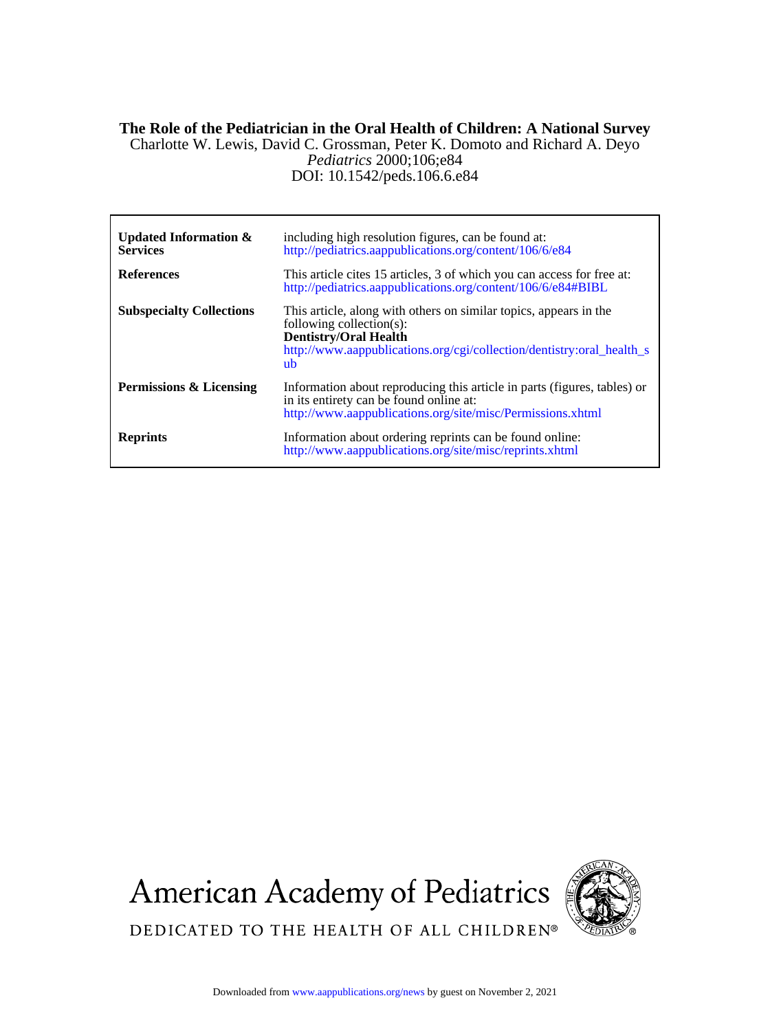## **The Role of the Pediatrician in the Oral Health of Children: A National Survey**

DOI: 10.1542/peds.106.6.e84 *Pediatrics* 2000;106;e84 Charlotte W. Lewis, David C. Grossman, Peter K. Domoto and Richard A. Deyo

| Updated Information $\&$<br><b>Services</b> | including high resolution figures, can be found at:<br>http://pediatrics.aappublications.org/content/106/6/e84                                                                                               |
|---------------------------------------------|--------------------------------------------------------------------------------------------------------------------------------------------------------------------------------------------------------------|
| <b>References</b>                           | This article cites 15 articles, 3 of which you can access for free at:<br>http://pediatrics.aappublications.org/content/106/6/e84#BIBL                                                                       |
| <b>Subspecialty Collections</b>             | This article, along with others on similar topics, appears in the<br>following collection(s):<br><b>Dentistry/Oral Health</b><br>http://www.aappublications.org/cgi/collection/dentistry:oral_health_s<br>ub |
| <b>Permissions &amp; Licensing</b>          | Information about reproducing this article in parts (figures, tables) or<br>in its entirety can be found online at:<br>http://www.aappublications.org/site/misc/Permissions.xhtml                            |
| <b>Reprints</b>                             | Information about ordering reprints can be found online:<br>http://www.aappublications.org/site/misc/reprints.xhtml                                                                                          |

**American Academy of Pediatrics** 



DEDICATED TO THE HEALTH OF ALL CHILDREN®